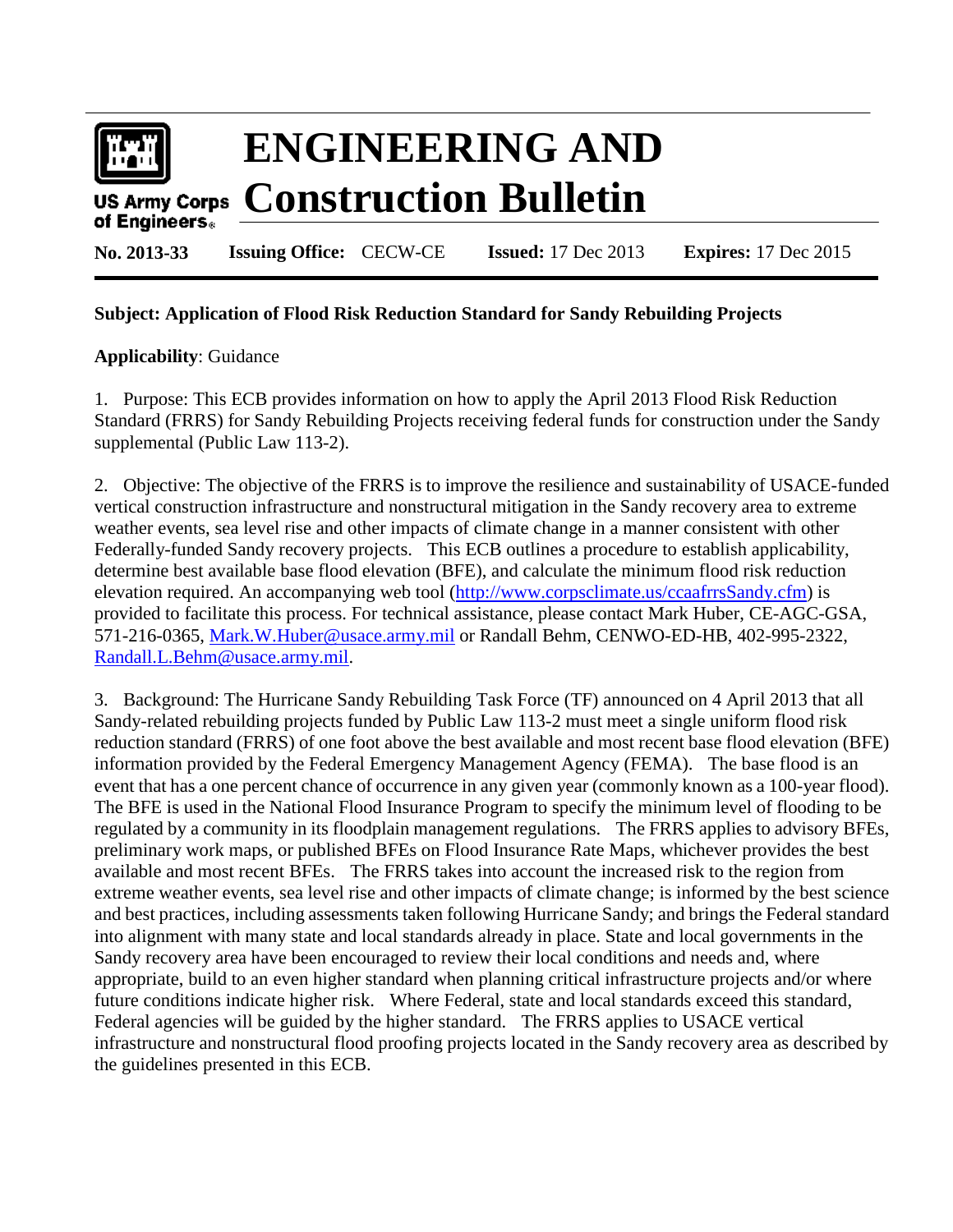

**No. 2013-33 Issuing Office:** CECW-CE **Issued:** 17 Dec 2013 **Expires:** 17 Dec 2015

## **Subject: Application of Flood Risk Reduction Standard for Sandy Rebuilding Projects**

## **Applicability**: Guidance

1. Purpose: This ECB provides information on how to apply the April 2013 Flood Risk Reduction Standard (FRRS) for Sandy Rebuilding Projects receiving federal funds for construction under the Sandy supplemental (Public Law 113-2).

2. Objective: The objective of the FRRS is to improve the resilience and sustainability of USACE-funded vertical construction infrastructure and nonstructural mitigation in the Sandy recovery area to extreme weather events, sea level rise and other impacts of climate change in a manner consistent with other Federally-funded Sandy recovery projects. This ECB outlines a procedure to establish applicability, determine best available base flood elevation (BFE), and calculate the minimum flood risk reduction elevation required. An accompanying web tool [\(http://www.corpsclimate.us/ccaafrrsSandy.cfm\)](http://www.corpsclimate.us/ccaafrrsSandy.cfm) is provided to facilitate this process. For technical assistance, please contact Mark Huber, CE-AGC-GSA, 571-216-0365, [Mark.W.Huber@usace.army.mil](mailto:Mark.W.Huber@usace.army.mil) or Randall Behm, CENWO-ED-HB, 402-995-2322, Randall.L.Behm@usace.army.mil.

3. Background: The Hurricane Sandy Rebuilding Task Force (TF) announced on 4 April 2013 that all Sandy-related rebuilding projects funded by Public Law 113-2 must meet a single uniform flood risk reduction standard (FRRS) of one foot above the best available and most recent base flood elevation (BFE) information provided by the Federal Emergency Management Agency (FEMA). The base flood is an event that has a one percent chance of occurrence in any given year (commonly known as a 100-year flood). The BFE is used in the National Flood Insurance Program to specify the minimum level of flooding to be regulated by a community in its floodplain management regulations. The FRRS applies to advisory BFEs, preliminary work maps, or published BFEs on Flood Insurance Rate Maps, whichever provides the best available and most recent BFEs. The FRRS takes into account the increased risk to the region from extreme weather events, sea level rise and other impacts of climate change; is informed by the best science and best practices, including assessments taken following Hurricane Sandy; and brings the Federal standard into alignment with many state and local standards already in place. State and local governments in the Sandy recovery area have been encouraged to review their local conditions and needs and, where appropriate, build to an even higher standard when planning critical infrastructure projects and/or where future conditions indicate higher risk. Where Federal, state and local standards exceed this standard, Federal agencies will be guided by the higher standard. The FRRS applies to USACE vertical infrastructure and nonstructural flood proofing projects located in the Sandy recovery area as described by the guidelines presented in this ECB.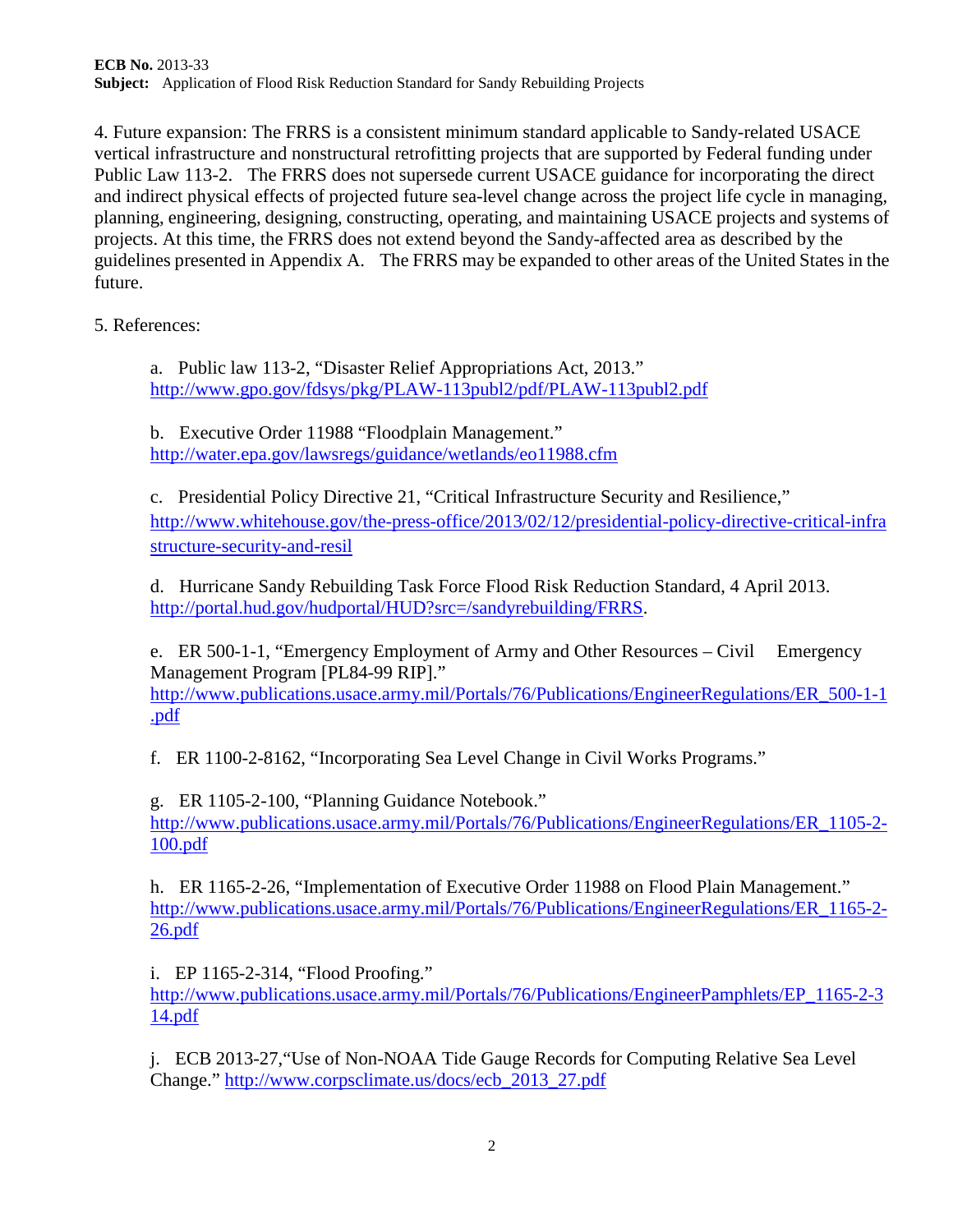4. Future expansion: The FRRS is a consistent minimum standard applicable to Sandy-related USACE vertical infrastructure and nonstructural retrofitting projects that are supported by Federal funding under Public Law 113-2. The FRRS does not supersede current USACE guidance for incorporating the direct and indirect physical effects of projected future sea-level change across the project life cycle in managing, planning, engineering, designing, constructing, operating, and maintaining USACE projects and systems of projects. At this time, the FRRS does not extend beyond the Sandy-affected area as described by the guidelines presented in Appendix A. The FRRS may be expanded to other areas of the United States in the future.

5. References:

a. Public law 113-2, "Disaster Relief Appropriations Act, 2013." <http://www.gpo.gov/fdsys/pkg/PLAW-113publ2/pdf/PLAW-113publ2.pdf>

b. Executive Order 11988 "Floodplain Management." <http://water.epa.gov/lawsregs/guidance/wetlands/eo11988.cfm>

c. Presidential Policy Directive 21, "Critical Infrastructure Security and Resilience," [http://www.whitehouse.gov/the-press-office/2013/02/12/presidential-policy-directive-critical-infra](http://www.whitehouse.gov/the-press-office/2013/02/12/presidential-policy-directive-critical-infrastructure-security-and-resil) [structure-security-and-resil](http://www.whitehouse.gov/the-press-office/2013/02/12/presidential-policy-directive-critical-infrastructure-security-and-resil)

d. Hurricane Sandy Rebuilding Task Force Flood Risk Reduction Standard, 4 April 2013. [http://portal.hud.gov/hudportal/HUD?src=/sandyrebuilding/FRRS.](http://portal.hud.gov/hudportal/HUD?src=/sandyrebuilding/FRRS)

e. ER 500-1-1, "Emergency Employment of Army and Other Resources – Civil Emergency Management Program [PL84-99 RIP]."

[http://www.publications.usace.army.mil/Portals/76/Publications/EngineerRegulations/ER\\_500-1-1](http://www.publications.usace.army.mil/Portals/76/Publications/EngineerRegulations/ER_500-1-1.pdf) [.pdf](http://www.publications.usace.army.mil/Portals/76/Publications/EngineerRegulations/ER_500-1-1.pdf)

f. ER 1100-2-8162, "Incorporating Sea Level Change in Civil Works Programs."

g. ER 1105-2-100, "Planning Guidance Notebook." [http://www.publications.usace.army.mil/Portals/76/Publications/EngineerRegulations/ER\\_1105-2-](http://www.publications.usace.army.mil/Portals/76/Publications/EngineerRegulations/ER_1105-2-100.pdf) [100.pdf](http://www.publications.usace.army.mil/Portals/76/Publications/EngineerRegulations/ER_1105-2-100.pdf)

h. ER 1165-2-26, "Implementation of Executive Order 11988 on Flood Plain Management." [http://www.publications.usace.army.mil/Portals/76/Publications/EngineerRegulations/ER\\_1165-2-](http://www.publications.usace.army.mil/Portals/76/Publications/EngineerRegulations/ER_1165-2-26.pdf) [26.pdf](http://www.publications.usace.army.mil/Portals/76/Publications/EngineerRegulations/ER_1165-2-26.pdf)

i. EP 1165-2-314, "Flood Proofing." [http://www.publications.usace.army.mil/Portals/76/Publications/EngineerPamphlets/EP\\_1165-2-3](http://www.publications.usace.army.mil/Portals/76/Publications/EngineerPamphlets/EP_1165-2-314.pdf) [14.pdf](http://www.publications.usace.army.mil/Portals/76/Publications/EngineerPamphlets/EP_1165-2-314.pdf)

j. ECB 2013-27,"Use of Non-NOAA Tide Gauge Records for Computing Relative Sea Level Change." [http://www.corpsclimate.us/docs/ecb\\_2013\\_27.pdf](http://www.corpsclimate.us/docs/ecb_2013_27.pdf)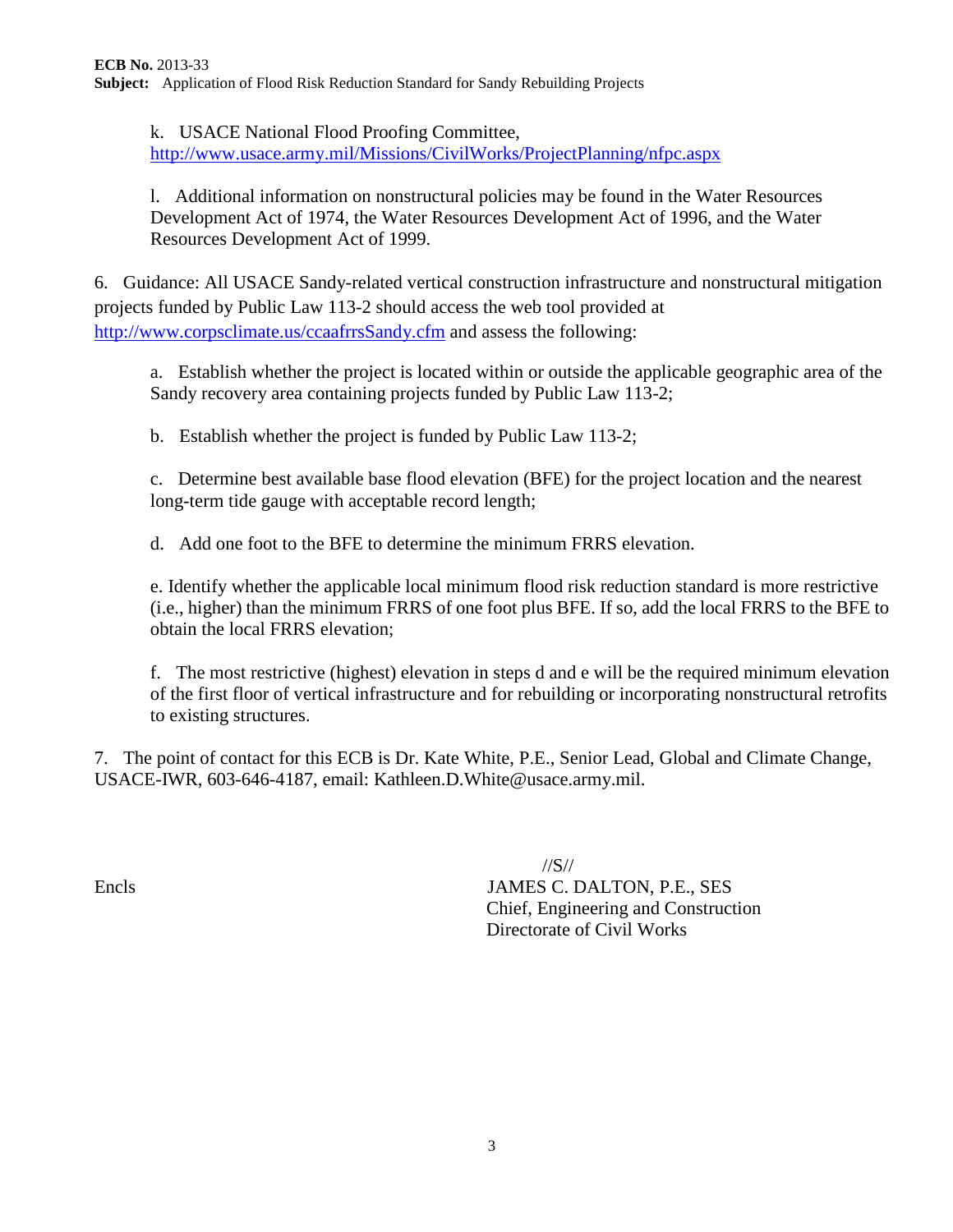k. USACE National Flood Proofing Committee, <http://www.usace.army.mil/Missions/CivilWorks/ProjectPlanning/nfpc.aspx>

l. Additional information on nonstructural policies may be found in the Water Resources Development Act of 1974, the Water Resources Development Act of 1996, and the Water Resources Development Act of 1999.

6. Guidance: All USACE Sandy-related vertical construction infrastructure and nonstructural mitigation projects funded by Public Law 113-2 should access the web tool provided at <http://www.corpsclimate.us/ccaafrrsSandy.cfm> and assess the following:

a. Establish whether the project is located within or outside the applicable geographic area of the Sandy recovery area containing projects funded by Public Law 113-2;

b. Establish whether the project is funded by Public Law 113-2;

c. Determine best available base flood elevation (BFE) for the project location and the nearest long-term tide gauge with acceptable record length;

d. Add one foot to the BFE to determine the minimum FRRS elevation.

e. Identify whether the applicable local minimum flood risk reduction standard is more restrictive (i.e., higher) than the minimum FRRS of one foot plus BFE. If so, add the local FRRS to the BFE to obtain the local FRRS elevation;

f. The most restrictive (highest) elevation in steps d and e will be the required minimum elevation of the first floor of vertical infrastructure and for rebuilding or incorporating nonstructural retrofits to existing structures.

7. The point of contact for this ECB is Dr. Kate White, P.E., Senior Lead, Global and Climate Change, USACE-IWR, 603-646-4187, email: Kathleen.D.White@usace.army.mil.

//S// Encls JAMES C. DALTON, P.E., SES Chief, Engineering and Construction Directorate of Civil Works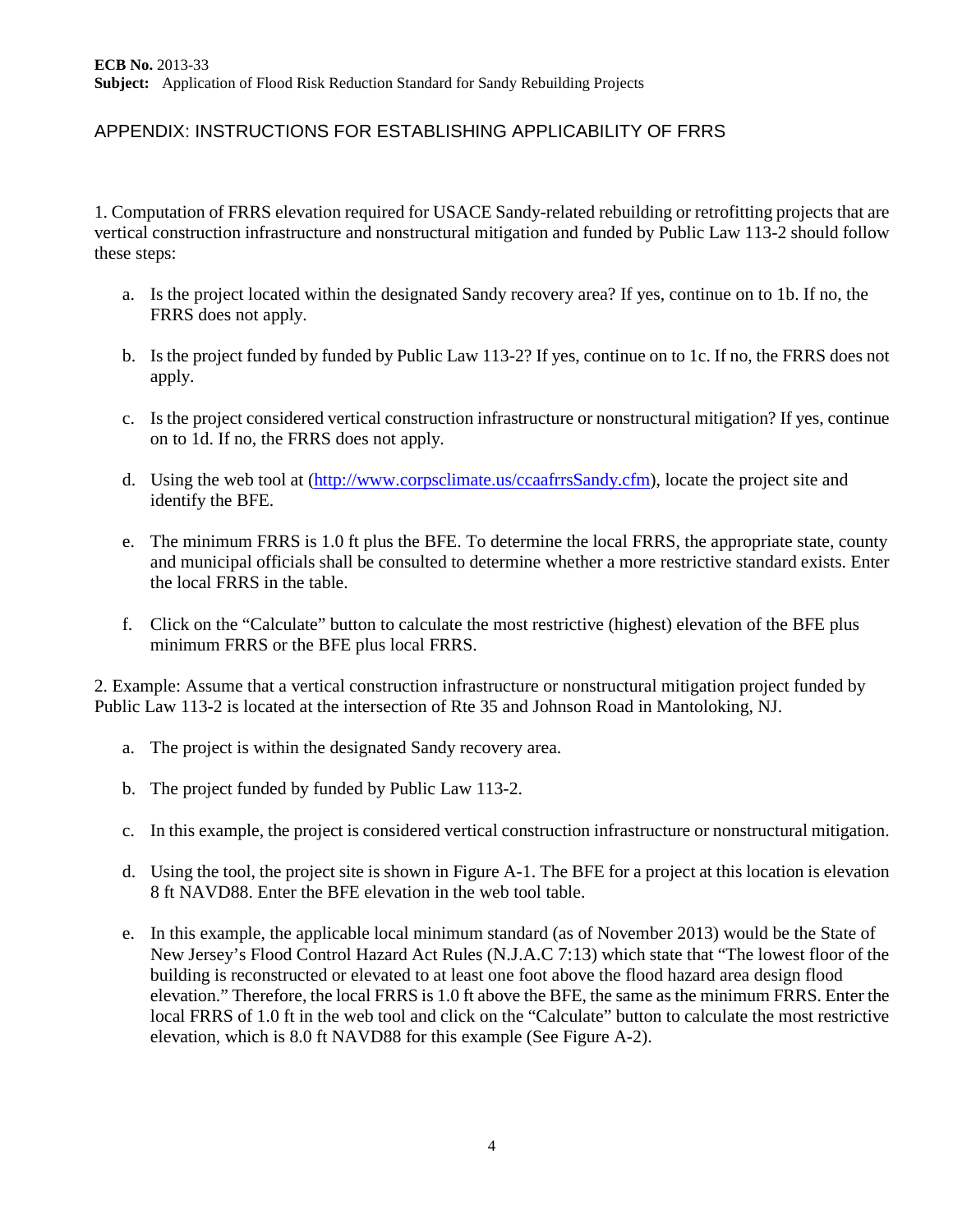## APPENDIX: INSTRUCTIONS FOR ESTABLISHING APPLICABILITY OF FRRS

1. Computation of FRRS elevation required for USACE Sandy-related rebuilding or retrofitting projects that are vertical construction infrastructure and nonstructural mitigation and funded by Public Law 113-2 should follow these steps:

- a. Is the project located within the designated Sandy recovery area? If yes, continue on to 1b. If no, the FRRS does not apply.
- b. Is the project funded by funded by Public Law 113-2? If yes, continue on to 1c. If no, the FRRS does not apply.
- c. Is the project considered vertical construction infrastructure or nonstructural mitigation? If yes, continue on to 1d. If no, the FRRS does not apply.
- d. Using the web tool at [\(http://www.corpsclimate.us/ccaafrrsSandy.cfm\)](http://www.corpsclimate.us/ccaafrrsSandy.cfm), locate the project site and identify the BFE.
- e. The minimum FRRS is 1.0 ft plus the BFE. To determine the local FRRS, the appropriate state, county and municipal officials shall be consulted to determine whether a more restrictive standard exists. Enter the local FRRS in the table.
- f. Click on the "Calculate" button to calculate the most restrictive (highest) elevation of the BFE plus minimum FRRS or the BFE plus local FRRS.

2. Example: Assume that a vertical construction infrastructure or nonstructural mitigation project funded by Public Law 113-2 is located at the intersection of Rte 35 and Johnson Road in Mantoloking, NJ.

- a. The project is within the designated Sandy recovery area.
- b. The project funded by funded by Public Law 113-2.
- c. In this example, the project is considered vertical construction infrastructure or nonstructural mitigation.
- d. Using the tool, the project site is shown in Figure A-1. The BFE for a project at this location is elevation 8 ft NAVD88. Enter the BFE elevation in the web tool table.
- e. In this example, the applicable local minimum standard (as of November 2013) would be the State of New Jersey's Flood Control Hazard Act Rules [\(N.J.A.C 7:13\)](http://www.nj.gov/dep/rules/rules/njac7_13.pdf) which state that "The lowest floor of the building is reconstructed or elevated to at least one foot above the flood hazard area design flood elevation." Therefore, the local FRRS is 1.0 ft above the BFE, the same as the minimum FRRS. Enter the local FRRS of 1.0 ft in the web tool and click on the "Calculate" button to calculate the most restrictive elevation, which is 8.0 ft NAVD88 for this example (See Figure A-2).